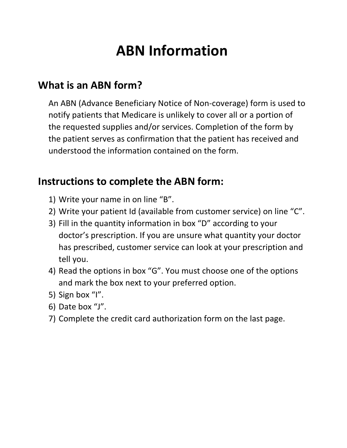# **ABN Information**

## **What is an ABN form?**

An ABN (Advance Beneficiary Notice of Non-coverage) form is used to notify patients that Medicare is unlikely to cover all or a portion of the requested supplies and/or services. Completion of the form by the patient serves as confirmation that the patient has received and understood the information contained on the form.

### **Instructions to complete the ABN form:**

- 1) Write your name in on line "B".
- 2) Write your patient Id (available from customer service) on line "C".
- 3) Fill in the quantity information in box "D" according to your doctor's prescription. If you are unsure what quantity your doctor has prescribed, customer service can look at your prescription and tell you.
- 4) Read the options in box "G". You must choose one of the options and mark the box next to your preferred option.
- 5) Sign box "I".
- 6) Date box "J".
- 7) Complete the credit card authorization form on the last page.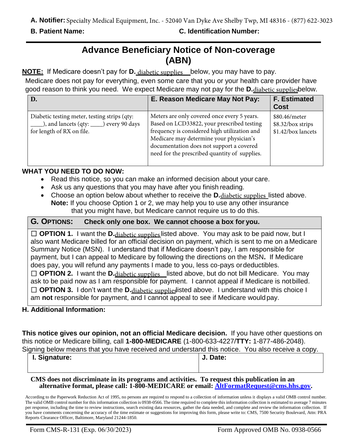#### **B. Patient Name: C. Identification Number:**

### **Advance Beneficiary Notice of Non-coverage (ABN)**

NOTE: If Medicare doesn't pay for D. diabetic supplies Loelow, you may have to pay.

Medicare does not pay for everything, even some care that you or your health care provider have good reason to think you need. We expect Medicare may not pay for the **D.** diabetic suppliesbelow.

| D.                                                                                                                         | E. Reason Medicare May Not Pay:                                                                                                                                                                                                                                                   | <b>F. Estimated</b><br><b>Cost</b>                       |
|----------------------------------------------------------------------------------------------------------------------------|-----------------------------------------------------------------------------------------------------------------------------------------------------------------------------------------------------------------------------------------------------------------------------------|----------------------------------------------------------|
| Diabetic testing meter, testing strips (qty:<br>____), and lancets (qty: _____) every 90 days<br>for length of RX on file. | Meters are only covered once every 5 years.<br>Based on LCD33822, your prescribed testing<br>frequency is considered high utilization and<br>Medicare may determine your physician's<br>documentation does not support a covered<br>need for the prescribed quantity of supplies. | \$80.46/meter<br>\$8.32/box strips<br>\$1.42/box lancets |

#### **WHAT YOU NEED TO DO NOW:**

- Read this notice, so you can make an informed decision about your care.
- Ask us any questions that you may have after you finish reading.
- Choose an option below about whether to receive the D. diabetic supplies listed above. **Note:** If you choose Option 1 or 2, we may help you to use any other insurance that you might have, but Medicare cannot require us to do this.

#### **G***.* **OPTIONS: Check only one box. We cannot choose a box for you.**

□ OPTION 1. I want the D.<sub>diabetic supplies</sub> listed above. You may ask to be paid now, but I also want Medicare billed for an official decision on payment, which is sent to me on a Medicare Summary Notice (MSN). I understand that if Medicare doesn't pay, I am responsible for payment, but I can appeal to Medicare by following the directions on the MSN**.** If Medicare does pay, you will refund any payments I made to you, less co-pays ordeductibles.

□ OPTION 2. I want the D. diabetic supplies listed above, but do not bill Medicare. You may ask to be paid now as I am responsible for payment. I cannot appeal if Medicare is notbilled. □ OPTION 3. I don't want the D. diabetic supplies diabove. I understand with this choice I am **not** responsible for payment, and I cannot appeal to see if Medicare would pay.

#### **H. Additional Information:**

**This notice gives our opinion, not an official Medicare decision.** If you have other questions on this notice or Medicare billing, call **1-800-MEDICARE** (1-800-633-4227/**TTY:** 1-877-486-2048). Signing below means that you have received and understand this notice. You also receive a copy.

| igning bolow modifs that you have recoived and understand this hotice. Tou disc recoive a copy. |
|-------------------------------------------------------------------------------------------------|
| J. Date:                                                                                        |
|                                                                                                 |
|                                                                                                 |

#### **CMS does not discriminate in its programs and activities. To request this publication in an alternative format, please call: 1-800-MEDICARE or email: [AltFormatRequest@cms.hhs.gov.](mailto:AltFormatRequest@cms.hhs.gov)**

According to the Paperwork Reduction Act of 1995, no persons are required to respond to a collection of information unless it displays a valid OMB control number. The valid OMB control number for this information collection is 0938-0566. The time required to complete this information collection is estimated to average 7 minutes per response, including the time to review instructions, search existing data resources, gather the data needed, and complete and review the information collection. If you have comments concerning the accuracy of the time estimate or suggestions for improving this form, please write to: CMS, 7500 Security Boulevard, Attn: PRA Reports Clearance Officer, Baltimore, Maryland 21244-1850.